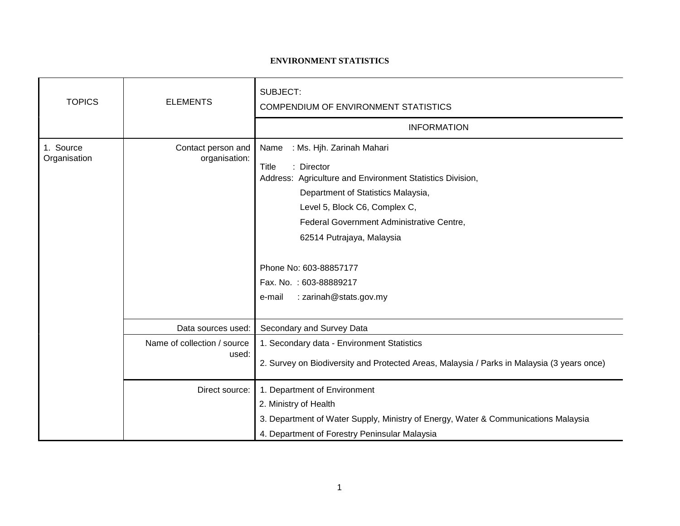## **ENVIRONMENT STATISTICS**

| <b>TOPICS</b>             | <b>ELEMENTS</b>                                                              | <b>SUBJECT:</b><br>COMPENDIUM OF ENVIRONMENT STATISTICS<br><b>INFORMATION</b>                                                                                                                                                                                                                                                                                         |
|---------------------------|------------------------------------------------------------------------------|-----------------------------------------------------------------------------------------------------------------------------------------------------------------------------------------------------------------------------------------------------------------------------------------------------------------------------------------------------------------------|
| 1. Source<br>Organisation | Contact person and<br>organisation:                                          | : Ms. Hjh. Zarinah Mahari<br>Name<br><b>Title</b><br>: Director<br>Address: Agriculture and Environment Statistics Division,<br>Department of Statistics Malaysia,<br>Level 5, Block C6, Complex C,<br>Federal Government Administrative Centre,<br>62514 Putrajaya, Malaysia<br>Phone No: 603-88857177<br>Fax. No.: 603-88889217<br>: zarinah@stats.gov.my<br>e-mail |
|                           | Data sources used:<br>Name of collection / source<br>used:<br>Direct source: | Secondary and Survey Data<br>1. Secondary data - Environment Statistics<br>2. Survey on Biodiversity and Protected Areas, Malaysia / Parks in Malaysia (3 years once)<br>1. Department of Environment<br>2. Ministry of Health<br>3. Department of Water Supply, Ministry of Energy, Water & Communications Malaysia<br>4. Department of Forestry Peninsular Malaysia |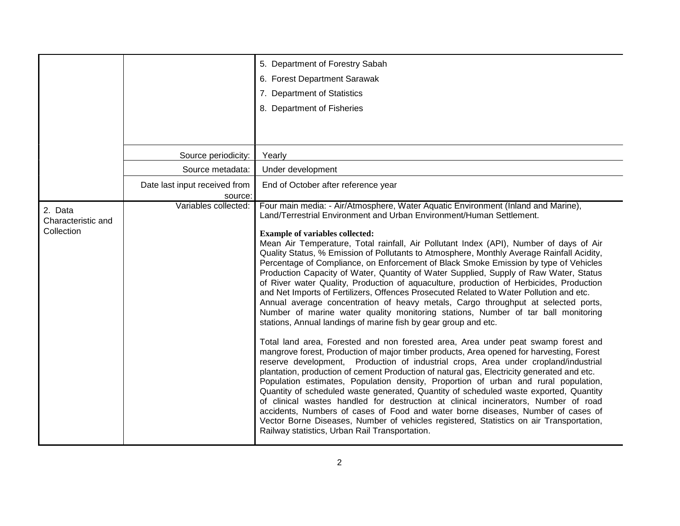|                                             |                                          | 5. Department of Forestry Sabah                                                                                                                                                                                                                                                                                                                                                                                                                                                                                                                                                                                                                                                                                                                                                                                                                                                                                                                                                                                                                                                                                                                                                                                                                                                                                                                                                                                                                                                                                                                                                                                                                                                                                                                                                                                                                                                              |
|---------------------------------------------|------------------------------------------|----------------------------------------------------------------------------------------------------------------------------------------------------------------------------------------------------------------------------------------------------------------------------------------------------------------------------------------------------------------------------------------------------------------------------------------------------------------------------------------------------------------------------------------------------------------------------------------------------------------------------------------------------------------------------------------------------------------------------------------------------------------------------------------------------------------------------------------------------------------------------------------------------------------------------------------------------------------------------------------------------------------------------------------------------------------------------------------------------------------------------------------------------------------------------------------------------------------------------------------------------------------------------------------------------------------------------------------------------------------------------------------------------------------------------------------------------------------------------------------------------------------------------------------------------------------------------------------------------------------------------------------------------------------------------------------------------------------------------------------------------------------------------------------------------------------------------------------------------------------------------------------------|
|                                             |                                          | 6. Forest Department Sarawak                                                                                                                                                                                                                                                                                                                                                                                                                                                                                                                                                                                                                                                                                                                                                                                                                                                                                                                                                                                                                                                                                                                                                                                                                                                                                                                                                                                                                                                                                                                                                                                                                                                                                                                                                                                                                                                                 |
|                                             |                                          | 7. Department of Statistics                                                                                                                                                                                                                                                                                                                                                                                                                                                                                                                                                                                                                                                                                                                                                                                                                                                                                                                                                                                                                                                                                                                                                                                                                                                                                                                                                                                                                                                                                                                                                                                                                                                                                                                                                                                                                                                                  |
|                                             |                                          | 8. Department of Fisheries                                                                                                                                                                                                                                                                                                                                                                                                                                                                                                                                                                                                                                                                                                                                                                                                                                                                                                                                                                                                                                                                                                                                                                                                                                                                                                                                                                                                                                                                                                                                                                                                                                                                                                                                                                                                                                                                   |
|                                             |                                          |                                                                                                                                                                                                                                                                                                                                                                                                                                                                                                                                                                                                                                                                                                                                                                                                                                                                                                                                                                                                                                                                                                                                                                                                                                                                                                                                                                                                                                                                                                                                                                                                                                                                                                                                                                                                                                                                                              |
|                                             |                                          |                                                                                                                                                                                                                                                                                                                                                                                                                                                                                                                                                                                                                                                                                                                                                                                                                                                                                                                                                                                                                                                                                                                                                                                                                                                                                                                                                                                                                                                                                                                                                                                                                                                                                                                                                                                                                                                                                              |
|                                             | Source periodicity:                      | Yearly                                                                                                                                                                                                                                                                                                                                                                                                                                                                                                                                                                                                                                                                                                                                                                                                                                                                                                                                                                                                                                                                                                                                                                                                                                                                                                                                                                                                                                                                                                                                                                                                                                                                                                                                                                                                                                                                                       |
|                                             | Source metadata:                         | Under development                                                                                                                                                                                                                                                                                                                                                                                                                                                                                                                                                                                                                                                                                                                                                                                                                                                                                                                                                                                                                                                                                                                                                                                                                                                                                                                                                                                                                                                                                                                                                                                                                                                                                                                                                                                                                                                                            |
|                                             | Date last input received from<br>source: | End of October after reference year                                                                                                                                                                                                                                                                                                                                                                                                                                                                                                                                                                                                                                                                                                                                                                                                                                                                                                                                                                                                                                                                                                                                                                                                                                                                                                                                                                                                                                                                                                                                                                                                                                                                                                                                                                                                                                                          |
| 2. Data<br>Characteristic and<br>Collection | Variables collected:                     | Four main media: - Air/Atmosphere, Water Aquatic Environment (Inland and Marine),<br>Land/Terrestrial Environment and Urban Environment/Human Settlement.<br><b>Example of variables collected:</b><br>Mean Air Temperature, Total rainfall, Air Pollutant Index (API), Number of days of Air<br>Quality Status, % Emission of Pollutants to Atmosphere, Monthly Average Rainfall Acidity,<br>Percentage of Compliance, on Enforcement of Black Smoke Emission by type of Vehicles<br>Production Capacity of Water, Quantity of Water Supplied, Supply of Raw Water, Status<br>of River water Quality, Production of aquaculture, production of Herbicides, Production<br>and Net Imports of Fertilizers, Offences Prosecuted Related to Water Pollution and etc.<br>Annual average concentration of heavy metals, Cargo throughput at selected ports,<br>Number of marine water quality monitoring stations, Number of tar ball monitoring<br>stations, Annual landings of marine fish by gear group and etc.<br>Total land area, Forested and non forested area, Area under peat swamp forest and<br>mangrove forest, Production of major timber products, Area opened for harvesting, Forest<br>reserve development, Production of industrial crops, Area under cropland/industrial<br>plantation, production of cement Production of natural gas, Electricity generated and etc.<br>Population estimates, Population density, Proportion of urban and rural population,<br>Quantity of scheduled waste generated, Quantity of scheduled waste exported, Quantity<br>of clinical wastes handled for destruction at clinical incinerators, Number of road<br>accidents, Numbers of cases of Food and water borne diseases, Number of cases of<br>Vector Borne Diseases, Number of vehicles registered, Statistics on air Transportation,<br>Railway statistics, Urban Rail Transportation. |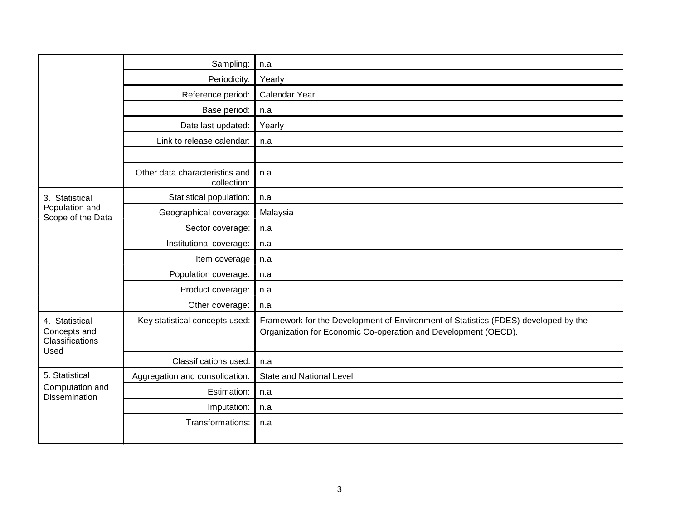|                                                           | Sampling:                                     | n.a                                                                                                                                                  |
|-----------------------------------------------------------|-----------------------------------------------|------------------------------------------------------------------------------------------------------------------------------------------------------|
|                                                           | Periodicity:                                  | Yearly                                                                                                                                               |
|                                                           | Reference period:                             | Calendar Year                                                                                                                                        |
|                                                           | Base period:                                  | n.a                                                                                                                                                  |
|                                                           | Date last updated:                            | Yearly                                                                                                                                               |
|                                                           | Link to release calendar:                     | n.a                                                                                                                                                  |
|                                                           |                                               |                                                                                                                                                      |
|                                                           | Other data characteristics and<br>collection: | n.a                                                                                                                                                  |
| 3. Statistical                                            | Statistical population:                       | n.a                                                                                                                                                  |
| Population and<br>Scope of the Data                       | Geographical coverage:                        | Malaysia                                                                                                                                             |
|                                                           | Sector coverage:                              | n.a                                                                                                                                                  |
|                                                           | Institutional coverage:                       | n.a                                                                                                                                                  |
|                                                           | Item coverage                                 | n.a                                                                                                                                                  |
|                                                           | Population coverage:                          | n.a                                                                                                                                                  |
|                                                           | Product coverage:                             | n.a                                                                                                                                                  |
|                                                           | Other coverage:                               | n.a                                                                                                                                                  |
| 4. Statistical<br>Concepts and<br>Classifications<br>Used | Key statistical concepts used:                | Framework for the Development of Environment of Statistics (FDES) developed by the<br>Organization for Economic Co-operation and Development (OECD). |
|                                                           | Classifications used:                         | n.a                                                                                                                                                  |
| 5. Statistical                                            | Aggregation and consolidation:                | <b>State and National Level</b>                                                                                                                      |
| Computation and<br><b>Dissemination</b>                   | Estimation:                                   | n.a                                                                                                                                                  |
|                                                           | Imputation:                                   | n.a                                                                                                                                                  |
|                                                           | Transformations:                              | n.a                                                                                                                                                  |